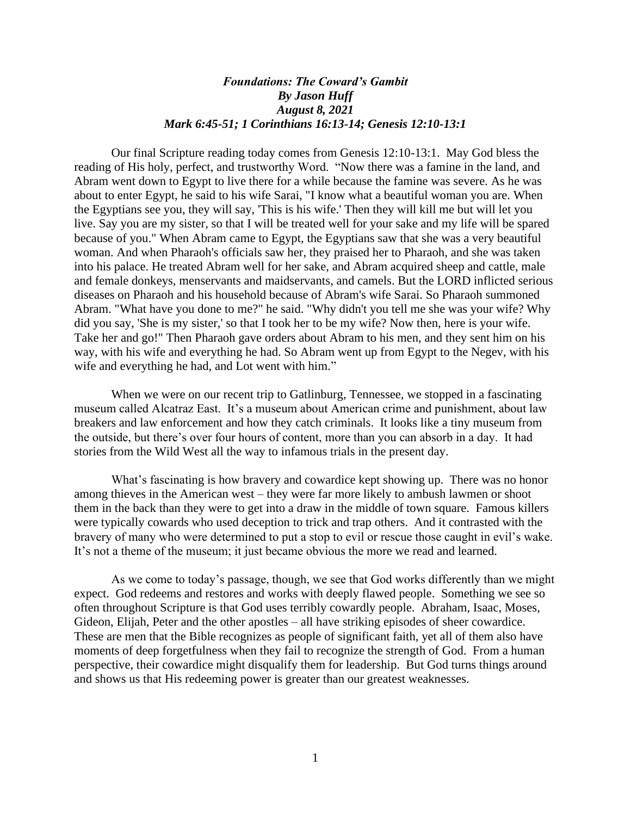## *Foundations: The Coward's Gambit By Jason Huff August 8, 2021 Mark 6:45-51; 1 Corinthians 16:13-14; Genesis 12:10-13:1*

Our final Scripture reading today comes from Genesis 12:10-13:1. May God bless the reading of His holy, perfect, and trustworthy Word. "Now there was a famine in the land, and Abram went down to Egypt to live there for a while because the famine was severe. As he was about to enter Egypt, he said to his wife Sarai, "I know what a beautiful woman you are. When the Egyptians see you, they will say, 'This is his wife.' Then they will kill me but will let you live. Say you are my sister, so that I will be treated well for your sake and my life will be spared because of you." When Abram came to Egypt, the Egyptians saw that she was a very beautiful woman. And when Pharaoh's officials saw her, they praised her to Pharaoh, and she was taken into his palace. He treated Abram well for her sake, and Abram acquired sheep and cattle, male and female donkeys, menservants and maidservants, and camels. But the LORD inflicted serious diseases on Pharaoh and his household because of Abram's wife Sarai. So Pharaoh summoned Abram. "What have you done to me?" he said. "Why didn't you tell me she was your wife? Why did you say, 'She is my sister,' so that I took her to be my wife? Now then, here is your wife. Take her and go!" Then Pharaoh gave orders about Abram to his men, and they sent him on his way, with his wife and everything he had. So Abram went up from Egypt to the Negev, with his wife and everything he had, and Lot went with him."

When we were on our recent trip to Gatlinburg, Tennessee, we stopped in a fascinating museum called Alcatraz East. It's a museum about American crime and punishment, about law breakers and law enforcement and how they catch criminals. It looks like a tiny museum from the outside, but there's over four hours of content, more than you can absorb in a day. It had stories from the Wild West all the way to infamous trials in the present day.

What's fascinating is how bravery and cowardice kept showing up. There was no honor among thieves in the American west – they were far more likely to ambush lawmen or shoot them in the back than they were to get into a draw in the middle of town square. Famous killers were typically cowards who used deception to trick and trap others. And it contrasted with the bravery of many who were determined to put a stop to evil or rescue those caught in evil's wake. It's not a theme of the museum; it just became obvious the more we read and learned.

As we come to today's passage, though, we see that God works differently than we might expect. God redeems and restores and works with deeply flawed people. Something we see so often throughout Scripture is that God uses terribly cowardly people. Abraham, Isaac, Moses, Gideon, Elijah, Peter and the other apostles – all have striking episodes of sheer cowardice. These are men that the Bible recognizes as people of significant faith, yet all of them also have moments of deep forgetfulness when they fail to recognize the strength of God. From a human perspective, their cowardice might disqualify them for leadership. But God turns things around and shows us that His redeeming power is greater than our greatest weaknesses.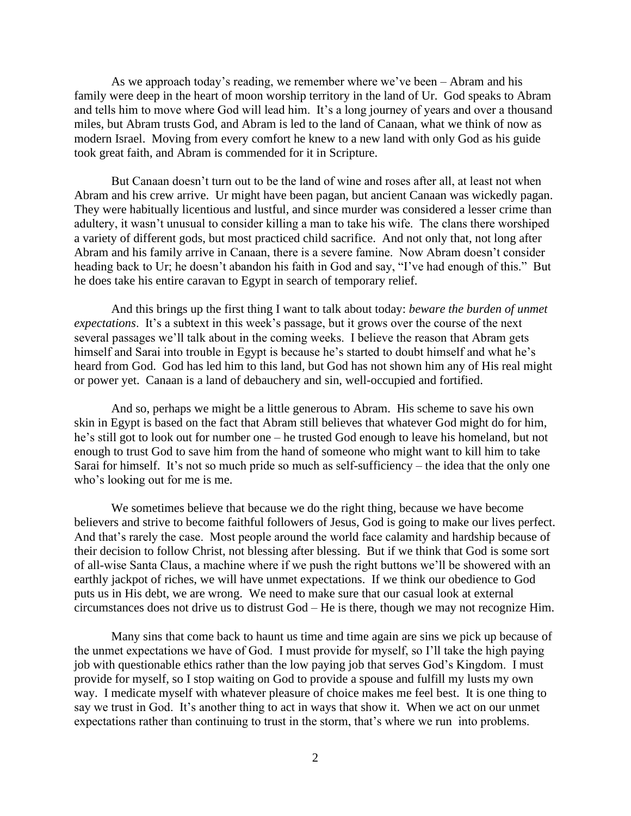As we approach today's reading, we remember where we've been – Abram and his family were deep in the heart of moon worship territory in the land of Ur. God speaks to Abram and tells him to move where God will lead him. It's a long journey of years and over a thousand miles, but Abram trusts God, and Abram is led to the land of Canaan, what we think of now as modern Israel. Moving from every comfort he knew to a new land with only God as his guide took great faith, and Abram is commended for it in Scripture.

But Canaan doesn't turn out to be the land of wine and roses after all, at least not when Abram and his crew arrive. Ur might have been pagan, but ancient Canaan was wickedly pagan. They were habitually licentious and lustful, and since murder was considered a lesser crime than adultery, it wasn't unusual to consider killing a man to take his wife. The clans there worshiped a variety of different gods, but most practiced child sacrifice. And not only that, not long after Abram and his family arrive in Canaan, there is a severe famine. Now Abram doesn't consider heading back to Ur; he doesn't abandon his faith in God and say, "I've had enough of this." But he does take his entire caravan to Egypt in search of temporary relief.

And this brings up the first thing I want to talk about today: *beware the burden of unmet expectations*. It's a subtext in this week's passage, but it grows over the course of the next several passages we'll talk about in the coming weeks. I believe the reason that Abram gets himself and Sarai into trouble in Egypt is because he's started to doubt himself and what he's heard from God. God has led him to this land, but God has not shown him any of His real might or power yet. Canaan is a land of debauchery and sin, well-occupied and fortified.

And so, perhaps we might be a little generous to Abram. His scheme to save his own skin in Egypt is based on the fact that Abram still believes that whatever God might do for him, he's still got to look out for number one – he trusted God enough to leave his homeland, but not enough to trust God to save him from the hand of someone who might want to kill him to take Sarai for himself. It's not so much pride so much as self-sufficiency – the idea that the only one who's looking out for me is me.

We sometimes believe that because we do the right thing, because we have become believers and strive to become faithful followers of Jesus, God is going to make our lives perfect. And that's rarely the case. Most people around the world face calamity and hardship because of their decision to follow Christ, not blessing after blessing. But if we think that God is some sort of all-wise Santa Claus, a machine where if we push the right buttons we'll be showered with an earthly jackpot of riches, we will have unmet expectations. If we think our obedience to God puts us in His debt, we are wrong. We need to make sure that our casual look at external circumstances does not drive us to distrust God – He is there, though we may not recognize Him.

Many sins that come back to haunt us time and time again are sins we pick up because of the unmet expectations we have of God. I must provide for myself, so I'll take the high paying job with questionable ethics rather than the low paying job that serves God's Kingdom. I must provide for myself, so I stop waiting on God to provide a spouse and fulfill my lusts my own way. I medicate myself with whatever pleasure of choice makes me feel best. It is one thing to say we trust in God. It's another thing to act in ways that show it. When we act on our unmet expectations rather than continuing to trust in the storm, that's where we run into problems.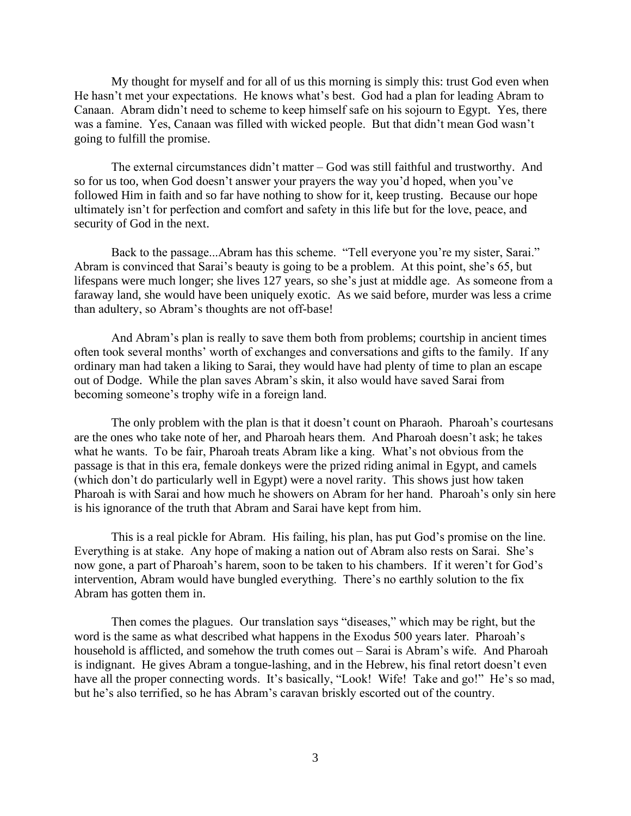My thought for myself and for all of us this morning is simply this: trust God even when He hasn't met your expectations. He knows what's best. God had a plan for leading Abram to Canaan. Abram didn't need to scheme to keep himself safe on his sojourn to Egypt. Yes, there was a famine. Yes, Canaan was filled with wicked people. But that didn't mean God wasn't going to fulfill the promise.

The external circumstances didn't matter – God was still faithful and trustworthy. And so for us too, when God doesn't answer your prayers the way you'd hoped, when you've followed Him in faith and so far have nothing to show for it, keep trusting. Because our hope ultimately isn't for perfection and comfort and safety in this life but for the love, peace, and security of God in the next.

Back to the passage...Abram has this scheme. "Tell everyone you're my sister, Sarai." Abram is convinced that Sarai's beauty is going to be a problem. At this point, she's 65, but lifespans were much longer; she lives 127 years, so she's just at middle age. As someone from a faraway land, she would have been uniquely exotic. As we said before, murder was less a crime than adultery, so Abram's thoughts are not off-base!

And Abram's plan is really to save them both from problems; courtship in ancient times often took several months' worth of exchanges and conversations and gifts to the family. If any ordinary man had taken a liking to Sarai, they would have had plenty of time to plan an escape out of Dodge. While the plan saves Abram's skin, it also would have saved Sarai from becoming someone's trophy wife in a foreign land.

The only problem with the plan is that it doesn't count on Pharaoh. Pharoah's courtesans are the ones who take note of her, and Pharoah hears them. And Pharoah doesn't ask; he takes what he wants. To be fair, Pharoah treats Abram like a king. What's not obvious from the passage is that in this era, female donkeys were the prized riding animal in Egypt, and camels (which don't do particularly well in Egypt) were a novel rarity. This shows just how taken Pharoah is with Sarai and how much he showers on Abram for her hand. Pharoah's only sin here is his ignorance of the truth that Abram and Sarai have kept from him.

This is a real pickle for Abram. His failing, his plan, has put God's promise on the line. Everything is at stake. Any hope of making a nation out of Abram also rests on Sarai. She's now gone, a part of Pharoah's harem, soon to be taken to his chambers. If it weren't for God's intervention, Abram would have bungled everything. There's no earthly solution to the fix Abram has gotten them in.

Then comes the plagues. Our translation says "diseases," which may be right, but the word is the same as what described what happens in the Exodus 500 years later. Pharoah's household is afflicted, and somehow the truth comes out – Sarai is Abram's wife. And Pharoah is indignant. He gives Abram a tongue-lashing, and in the Hebrew, his final retort doesn't even have all the proper connecting words. It's basically, "Look! Wife! Take and go!" He's so mad, but he's also terrified, so he has Abram's caravan briskly escorted out of the country.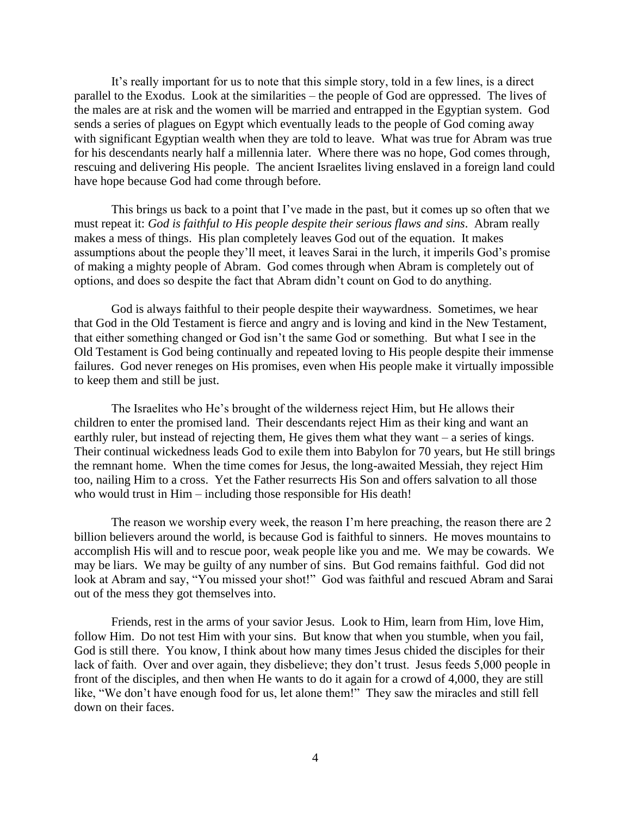It's really important for us to note that this simple story, told in a few lines, is a direct parallel to the Exodus. Look at the similarities – the people of God are oppressed. The lives of the males are at risk and the women will be married and entrapped in the Egyptian system. God sends a series of plagues on Egypt which eventually leads to the people of God coming away with significant Egyptian wealth when they are told to leave. What was true for Abram was true for his descendants nearly half a millennia later. Where there was no hope, God comes through, rescuing and delivering His people. The ancient Israelites living enslaved in a foreign land could have hope because God had come through before.

This brings us back to a point that I've made in the past, but it comes up so often that we must repeat it: *God is faithful to His people despite their serious flaws and sins*. Abram really makes a mess of things. His plan completely leaves God out of the equation. It makes assumptions about the people they'll meet, it leaves Sarai in the lurch, it imperils God's promise of making a mighty people of Abram. God comes through when Abram is completely out of options, and does so despite the fact that Abram didn't count on God to do anything.

God is always faithful to their people despite their waywardness. Sometimes, we hear that God in the Old Testament is fierce and angry and is loving and kind in the New Testament, that either something changed or God isn't the same God or something. But what I see in the Old Testament is God being continually and repeated loving to His people despite their immense failures. God never reneges on His promises, even when His people make it virtually impossible to keep them and still be just.

The Israelites who He's brought of the wilderness reject Him, but He allows their children to enter the promised land. Their descendants reject Him as their king and want an earthly ruler, but instead of rejecting them, He gives them what they want – a series of kings. Their continual wickedness leads God to exile them into Babylon for 70 years, but He still brings the remnant home. When the time comes for Jesus, the long-awaited Messiah, they reject Him too, nailing Him to a cross. Yet the Father resurrects His Son and offers salvation to all those who would trust in Him – including those responsible for His death!

The reason we worship every week, the reason I'm here preaching, the reason there are 2 billion believers around the world, is because God is faithful to sinners. He moves mountains to accomplish His will and to rescue poor, weak people like you and me. We may be cowards. We may be liars. We may be guilty of any number of sins. But God remains faithful. God did not look at Abram and say, "You missed your shot!" God was faithful and rescued Abram and Sarai out of the mess they got themselves into.

Friends, rest in the arms of your savior Jesus. Look to Him, learn from Him, love Him, follow Him. Do not test Him with your sins. But know that when you stumble, when you fail, God is still there. You know, I think about how many times Jesus chided the disciples for their lack of faith. Over and over again, they disbelieve; they don't trust. Jesus feeds 5,000 people in front of the disciples, and then when He wants to do it again for a crowd of 4,000, they are still like, "We don't have enough food for us, let alone them!" They saw the miracles and still fell down on their faces.